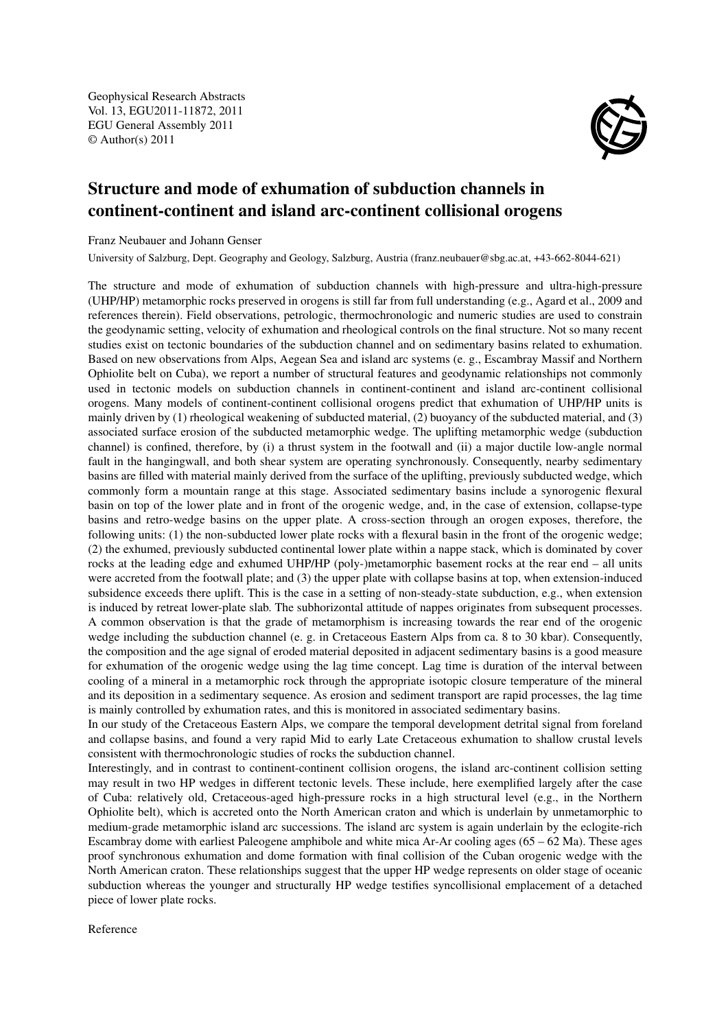Geophysical Research Abstracts Vol. 13, EGU2011-11872, 2011 EGU General Assembly 2011 © Author(s) 2011



## Structure and mode of exhumation of subduction channels in continent-continent and island arc-continent collisional orogens

Franz Neubauer and Johann Genser

University of Salzburg, Dept. Geography and Geology, Salzburg, Austria (franz.neubauer@sbg.ac.at, +43-662-8044-621)

The structure and mode of exhumation of subduction channels with high-pressure and ultra-high-pressure (UHP/HP) metamorphic rocks preserved in orogens is still far from full understanding (e.g., Agard et al., 2009 and references therein). Field observations, petrologic, thermochronologic and numeric studies are used to constrain the geodynamic setting, velocity of exhumation and rheological controls on the final structure. Not so many recent studies exist on tectonic boundaries of the subduction channel and on sedimentary basins related to exhumation. Based on new observations from Alps, Aegean Sea and island arc systems (e. g., Escambray Massif and Northern Ophiolite belt on Cuba), we report a number of structural features and geodynamic relationships not commonly used in tectonic models on subduction channels in continent-continent and island arc-continent collisional orogens. Many models of continent-continent collisional orogens predict that exhumation of UHP/HP units is mainly driven by (1) rheological weakening of subducted material, (2) buoyancy of the subducted material, and (3) associated surface erosion of the subducted metamorphic wedge. The uplifting metamorphic wedge (subduction channel) is confined, therefore, by (i) a thrust system in the footwall and (ii) a major ductile low-angle normal fault in the hangingwall, and both shear system are operating synchronously. Consequently, nearby sedimentary basins are filled with material mainly derived from the surface of the uplifting, previously subducted wedge, which commonly form a mountain range at this stage. Associated sedimentary basins include a synorogenic flexural basin on top of the lower plate and in front of the orogenic wedge, and, in the case of extension, collapse-type basins and retro-wedge basins on the upper plate. A cross-section through an orogen exposes, therefore, the following units: (1) the non-subducted lower plate rocks with a flexural basin in the front of the orogenic wedge; (2) the exhumed, previously subducted continental lower plate within a nappe stack, which is dominated by cover rocks at the leading edge and exhumed UHP/HP (poly-)metamorphic basement rocks at the rear end – all units were accreted from the footwall plate; and (3) the upper plate with collapse basins at top, when extension-induced subsidence exceeds there uplift. This is the case in a setting of non-steady-state subduction, e.g., when extension is induced by retreat lower-plate slab. The subhorizontal attitude of nappes originates from subsequent processes. A common observation is that the grade of metamorphism is increasing towards the rear end of the orogenic wedge including the subduction channel (e. g. in Cretaceous Eastern Alps from ca. 8 to 30 kbar). Consequently, the composition and the age signal of eroded material deposited in adjacent sedimentary basins is a good measure for exhumation of the orogenic wedge using the lag time concept. Lag time is duration of the interval between cooling of a mineral in a metamorphic rock through the appropriate isotopic closure temperature of the mineral and its deposition in a sedimentary sequence. As erosion and sediment transport are rapid processes, the lag time is mainly controlled by exhumation rates, and this is monitored in associated sedimentary basins.

In our study of the Cretaceous Eastern Alps, we compare the temporal development detrital signal from foreland and collapse basins, and found a very rapid Mid to early Late Cretaceous exhumation to shallow crustal levels consistent with thermochronologic studies of rocks the subduction channel.

Interestingly, and in contrast to continent-continent collision orogens, the island arc-continent collision setting may result in two HP wedges in different tectonic levels. These include, here exemplified largely after the case of Cuba: relatively old, Cretaceous-aged high-pressure rocks in a high structural level (e.g., in the Northern Ophiolite belt), which is accreted onto the North American craton and which is underlain by unmetamorphic to medium-grade metamorphic island arc successions. The island arc system is again underlain by the eclogite-rich Escambray dome with earliest Paleogene amphibole and white mica Ar-Ar cooling ages (65 – 62 Ma). These ages proof synchronous exhumation and dome formation with final collision of the Cuban orogenic wedge with the North American craton. These relationships suggest that the upper HP wedge represents on older stage of oceanic subduction whereas the younger and structurally HP wedge testifies syncollisional emplacement of a detached piece of lower plate rocks.

Reference